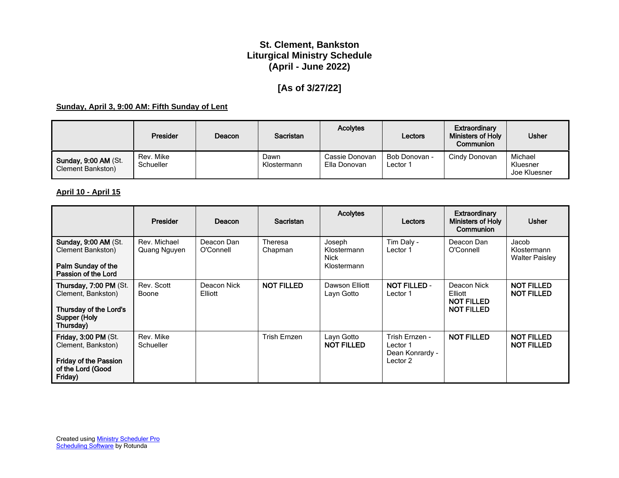# **St. Clement, Bankston Liturgical Ministry Schedule (April - June 2022)**

# **[As of 3/27/22]**

## **Sunday, April 3, 9:00 AM: Fifth Sunday of Lent**

|                                                         | <b>Presider</b>        | Deacon | Sacristan           | <b>Acolytes</b>                | Lectors                   | Extraordinary<br><b>Ministers of Holy</b><br><b>Communion</b> | <b>Usher</b>                        |
|---------------------------------------------------------|------------------------|--------|---------------------|--------------------------------|---------------------------|---------------------------------------------------------------|-------------------------------------|
| <b>Sunday, 9:00 AM (St.</b><br><b>Clement Bankston)</b> | Rev. Mike<br>Schueller |        | Dawn<br>Klostermann | Cassie Donovan<br>Ella Donovan | Bob Donovan -<br>∟ector 1 | Cindy Donovan                                                 | Michael<br>Kluesner<br>Joe Kluesner |

## **April 10 - April 15**

|                                                                                                            | Presider                     | Deacon                  | <b>Sacristan</b>   | <b>Acolytes</b>                              | Lectors                                                   | <b>Extraordinary</b><br><b>Ministers of Holy</b><br>Communion    | <b>Usher</b>                                  |
|------------------------------------------------------------------------------------------------------------|------------------------------|-------------------------|--------------------|----------------------------------------------|-----------------------------------------------------------|------------------------------------------------------------------|-----------------------------------------------|
| <b>Sunday, 9:00 AM (St.</b><br>Clement Bankston)<br>Palm Sunday of the<br>Passion of the Lord              | Rev. Michael<br>Quang Nguyen | Deacon Dan<br>O'Connell | Theresa<br>Chapman | Joseph<br>Klostermann<br>Nick<br>Klostermann | Tim Daly -<br>Lector 1                                    | Deacon Dan<br>O'Connell                                          | Jacob<br>Klostermann<br><b>Walter Paisley</b> |
| Thursday, 7:00 PM (St.<br>Clement, Bankston)<br>Thursday of the Lord's<br>Supper (Holy<br>Thursday)        | Rev. Scott<br>Boone          | Deacon Nick<br>Elliott  | <b>NOT FILLED</b>  | Dawson Elliott<br>Layn Gotto                 | <b>NOT FILLED -</b><br>Lector 1                           | Deacon Nick<br>Elliott<br><b>NOT FILLED</b><br><b>NOT FILLED</b> | <b>NOT FILLED</b><br><b>NOT FILLED</b>        |
| Friday, 3:00 PM (St.<br>Clement, Bankston)<br><b>Friday of the Passion</b><br>of the Lord (Good<br>Friday) | Rev. Mike<br>Schueller       |                         | Trish Ernzen       | Layn Gotto<br><b>NOT FILLED</b>              | Trish Ernzen -<br>Lector 1<br>Dean Konrardy -<br>Lector 2 | <b>NOT FILLED</b>                                                | <b>NOT FILLED</b><br><b>NOT FILLED</b>        |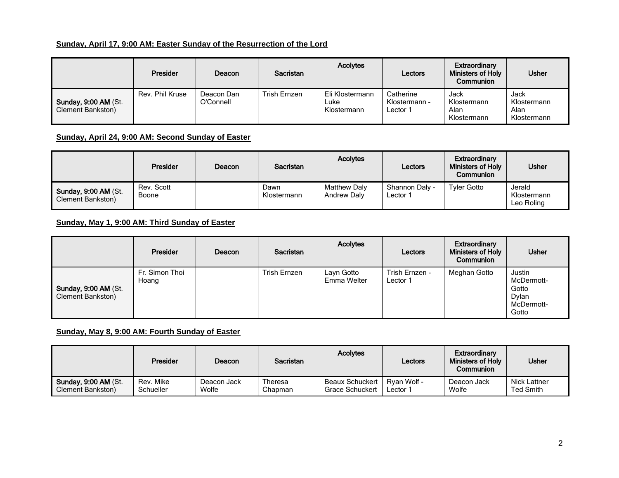# **Sunday, April 17, 9:00 AM: Easter Sunday of the Resurrection of the Lord**

|                                                          | <b>Presider</b> | Deacon                  | <b>Sacristan</b> | <b>Acolytes</b>                        | Lectors                                | Extraordinary<br><b>Ministers of Holy</b><br>Communion | <b>Usher</b>                               |
|----------------------------------------------------------|-----------------|-------------------------|------------------|----------------------------------------|----------------------------------------|--------------------------------------------------------|--------------------------------------------|
| <b>Sunday, 9:00 AM (St.</b><br><b>Clement Bankston</b> ) | Rev. Phil Kruse | Deacon Dan<br>O'Connell | Trish Ernzen     | Eli Klostermann<br>Luke<br>Klostermann | Catherine<br>Klostermann -<br>Lector 1 | Jack<br>Klostermann<br>Alan<br>Klostermann             | Jack<br>Klostermann<br>Alan<br>Klostermann |

## **Sunday, April 24, 9:00 AM: Second Sunday of Easter**

|                                                          | Presider            | <b>Deacon</b> | Sacristan           | <b>Acolytes</b>                           | Lectors                    | <b>Extraordinary</b><br><b>Ministers of Holy</b><br><b>Communion</b> | <b>Usher</b>                        |
|----------------------------------------------------------|---------------------|---------------|---------------------|-------------------------------------------|----------------------------|----------------------------------------------------------------------|-------------------------------------|
| <b>Sunday, 9:00 AM (St.</b><br><b>Clement Bankston</b> ) | Rev. Scott<br>Boone |               | Dawn<br>Klostermann | <b>Matthew Daly</b><br><b>Andrew Dalv</b> | Shannon Daly -<br>Lector 1 | <b>Tyler Gotto</b>                                                   | Jerald<br>Klostermann<br>Leo Roling |

# **Sunday, May 1, 9:00 AM: Third Sunday of Easter**

|                                                         | Presider                | Deacon | <b>Sacristan</b> | <b>Acolytes</b>           | Lectors                    | Extraordinary<br><b>Ministers of Holy</b><br>Communion | <b>Usher</b>                                                  |
|---------------------------------------------------------|-------------------------|--------|------------------|---------------------------|----------------------------|--------------------------------------------------------|---------------------------------------------------------------|
| <b>Sunday, 9:00 AM (St.</b><br><b>Clement Bankston)</b> | Fr. Simon Thoi<br>Hoang |        | Trish Ernzen     | Layn Gotto<br>Emma Welter | Trish Ernzen -<br>Lector 1 | Meghan Gotto                                           | Justin<br>McDermott-<br>Gotto<br>Dylan<br>McDermott-<br>Gotto |

## **Sunday, May 8, 9:00 AM: Fourth Sunday of Easter**

|                      | Presider  | Deacon      | <b>Sacristan</b> | <b>Acolytes</b>        | Lectors     | Extraordinary<br><b>Ministers of Holy</b><br>Communion | <b>Usher</b>        |
|----------------------|-----------|-------------|------------------|------------------------|-------------|--------------------------------------------------------|---------------------|
| Sunday, 9:00 AM (St. | Rev. Mike | Deacon Jack | Theresa          | <b>Beaux Schuckert</b> | Ryan Wolf - | Deacon Jack                                            | <b>Nick Lattner</b> |
| Clement Bankston)    | Schueller | Wolfe       | Chapman          | <b>Grace Schuckert</b> | Lector 1    | Wolfe                                                  | Ted Smith           |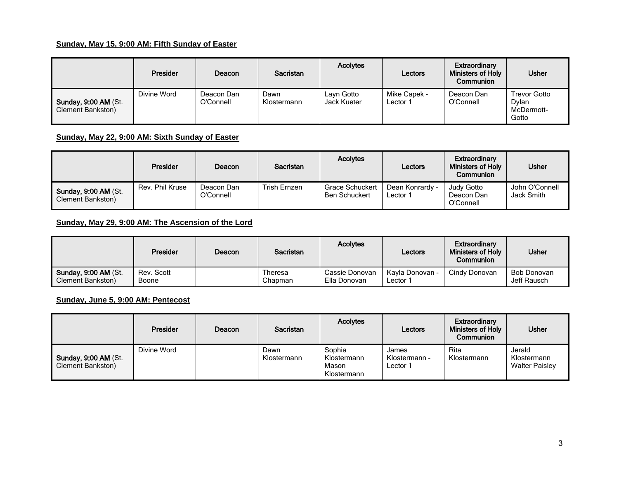## **Sunday, May 15, 9:00 AM: Fifth Sunday of Easter**

|                                                         | <b>Presider</b> | Deacon                  | Sacristan           | <b>Acolytes</b>           | Lectors                  | Extraordinary<br><b>Ministers of Holy</b><br>Communion | <b>Usher</b>                                 |
|---------------------------------------------------------|-----------------|-------------------------|---------------------|---------------------------|--------------------------|--------------------------------------------------------|----------------------------------------------|
| <b>Sunday, 9:00 AM (St.</b><br><b>Clement Bankston)</b> | Divine Word     | Deacon Dan<br>O'Connell | Dawn<br>Klostermann | Layn Gotto<br>Jack Kueter | Mike Capek -<br>Lector 1 | Deacon Dan<br>O'Connell                                | Trevor Gotto<br>Dvlan<br>McDermott-<br>Gotto |

**Sunday, May 22, 9:00 AM: Sixth Sunday of Easter**

|                                                  | <b>Presider</b> | Deacon                  | <b>Sacristan</b> | <b>Acolytes</b>                                | Lectors                     | Extraordinary<br><b>Ministers of Holv</b><br>Communion | <b>Usher</b>                 |
|--------------------------------------------------|-----------------|-------------------------|------------------|------------------------------------------------|-----------------------------|--------------------------------------------------------|------------------------------|
| Sunday, 9:00 AM (St.<br><b>Clement Bankston)</b> | Rev. Phil Kruse | Deacon Dan<br>O'Connell | Trish Ernzen     | <b>Grace Schuckert</b><br><b>Ben Schuckert</b> | Dean Konrardy -<br>Lector 1 | Judy Gotto<br>Deacon Dan<br>O'Connell                  | John O'Connell<br>Jack Smith |

**Sunday, May 29, 9:00 AM: The Ascension of the Lord**

|                                                   | Presider            | Deacon | <b>Sacristan</b>   | <b>Acolytes</b>                | Lectors                                | Extraordinary<br><b>Ministers of Holy</b><br>Communion | <b>Usher</b>               |
|---------------------------------------------------|---------------------|--------|--------------------|--------------------------------|----------------------------------------|--------------------------------------------------------|----------------------------|
| Sunday, 9:00 AM (St.<br><b>Clement Bankston</b> ) | Rev. Scott<br>Boone |        | Theresa<br>Chapman | Cassie Donovan<br>Ella Donovan | Kavla Donovan -<br>Lector <sup>-</sup> | Cindy Donovan                                          | Bob Donovan<br>Jeff Rausch |

**Sunday, June 5, 9:00 AM: Pentecost**

|                                                         | Presider    | Deacon | <b>Sacristan</b>    | <b>Acolytes</b>                               | Lectors                            | Extraordinary<br>Ministers of Holy<br>Communion | <b>Usher</b>                                   |
|---------------------------------------------------------|-------------|--------|---------------------|-----------------------------------------------|------------------------------------|-------------------------------------------------|------------------------------------------------|
| <b>Sunday, 9:00 AM (St.</b><br><b>Clement Bankston)</b> | Divine Word |        | Dawn<br>Klostermann | Sophia<br>Klostermann<br>Mason<br>Klostermann | James<br>Klostermann -<br>Lector 1 | Rita<br>Klostermann                             | Jerald<br>Klostermann<br><b>Walter Paisley</b> |